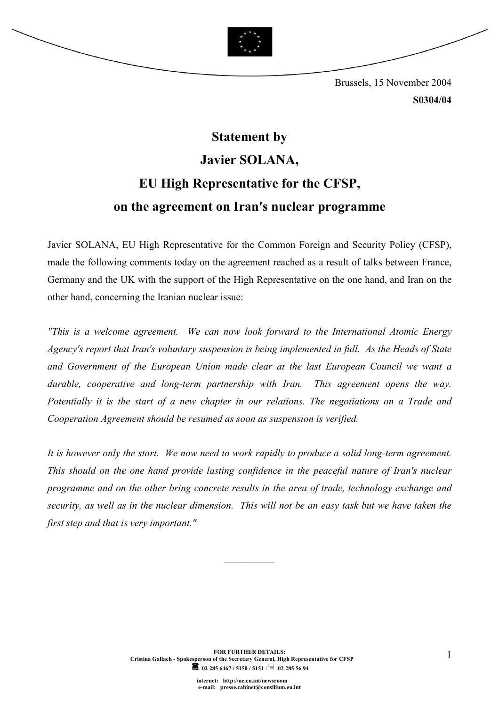

 Brussels, 15 November 2004 S0304/04

## Statement by Javier SOLANA, EU High Representative for the CFSP, on the agreement on Iran's nuclear programme

Javier SOLANA, EU High Representative for the Common Foreign and Security Policy (CFSP), made the following comments today on the agreement reached as a result of talks between France, [Germany and the UK with the support of the H](http://ue.eu.int/)igh Representative on the one hand, and Iran on the other hand, concerning the Iranian nuclear issue:

"This is a welcome agreement. We can now look forward to the International Atomic Energy Agency's report that Iran's voluntary suspension is being implemented in full. As the Heads of State and Government of the European Union made clear at the last European Council we want a durable, cooperative and long-term partnership with Iran. This agreement opens the way. Potentially it is the start of a new chapter in our relations. The negotiations on a Trade and Cooperation Agreement should be resumed as soon as suspension is verified.

It is however only the start. We now need to work rapidly to produce a solid long-term agreement. This should on the one hand provide lasting confidence in the peaceful nature of Iran's nuclear programme and on the other bring concrete results in the area of trade, technology exchange and security, as well as in the nuclear dimension. This will not be an easy task but we have taken the first step and that is very important."

 $\frac{1}{2}$  ,  $\frac{1}{2}$  ,  $\frac{1}{2}$  ,  $\frac{1}{2}$  ,  $\frac{1}{2}$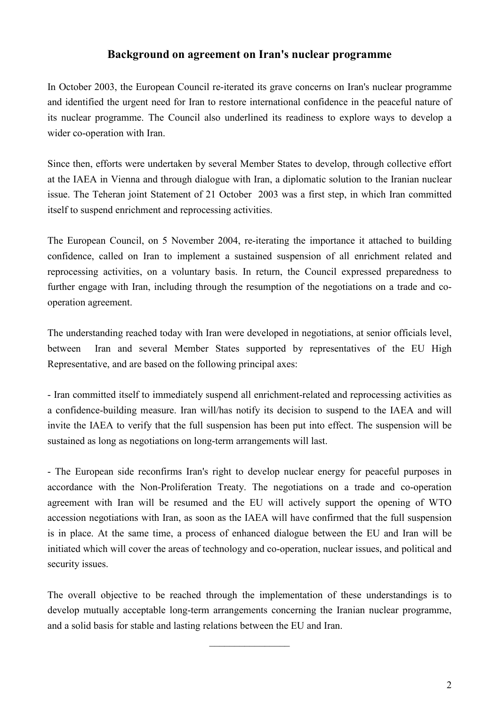## Background on agreement on Iran's nuclear programme

In October 2003, the European Council re-iterated its grave concerns on Iran's nuclear programme and identified the urgent need for Iran to restore international confidence in the peaceful nature of its nuclear programme. The Council also underlined its readiness to explore ways to develop a wider co-operation with Iran.

Since then, efforts were undertaken by several Member States to develop, through collective effort at the IAEA in Vienna and through dialogue with Iran, a diplomatic solution to the Iranian nuclear issue. The Teheran joint Statement of 21 October 2003 was a first step, in which Iran committed itself to suspend enrichment and reprocessing activities.

The European Council, on 5 November 2004, re-iterating the importance it attached to building confidence, called on Iran to implement a sustained suspension of all enrichment related and reprocessing activities, on a voluntary basis. In return, the Council expressed preparedness to further engage with Iran, including through the resumption of the negotiations on a trade and cooperation agreement.

The understanding reached today with Iran were developed in negotiations, at senior officials level, between Iran and several Member States supported by representatives of the EU High Representative, and are based on the following principal axes:

- Iran committed itself to immediately suspend all enrichment-related and reprocessing activities as a confidence-building measure. Iran will/has notify its decision to suspend to the IAEA and will invite the IAEA to verify that the full suspension has been put into effect. The suspension will be sustained as long as negotiations on long-term arrangements will last.

- The European side reconfirms Iran's right to develop nuclear energy for peaceful purposes in accordance with the Non-Proliferation Treaty. The negotiations on a trade and co-operation agreement with Iran will be resumed and the EU will actively support the opening of WTO accession negotiations with Iran, as soon as the IAEA will have confirmed that the full suspension is in place. At the same time, a process of enhanced dialogue between the EU and Iran will be initiated which will cover the areas of technology and co-operation, nuclear issues, and political and security issues.

The overall objective to be reached through the implementation of these understandings is to develop mutually acceptable long-term arrangements concerning the Iranian nuclear programme, and a solid basis for stable and lasting relations between the EU and Iran.

 $\frac{1}{2}$  ,  $\frac{1}{2}$  ,  $\frac{1}{2}$  ,  $\frac{1}{2}$  ,  $\frac{1}{2}$  ,  $\frac{1}{2}$  ,  $\frac{1}{2}$  ,  $\frac{1}{2}$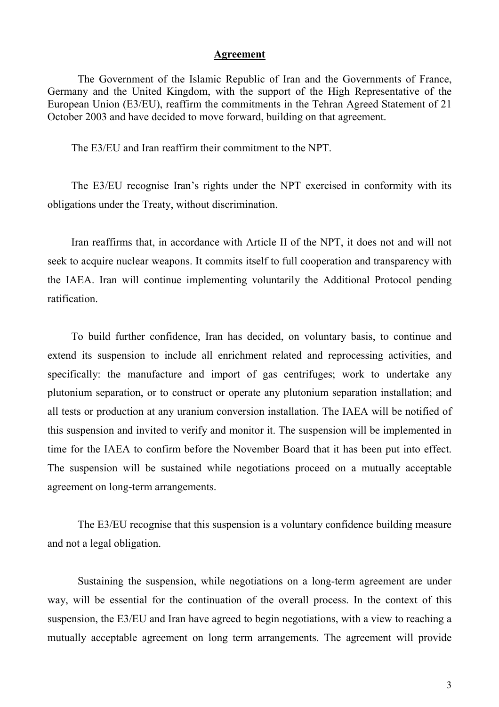## Agreement

The Government of the Islamic Republic of Iran and the Governments of France, Germany and the United Kingdom, with the support of the High Representative of the European Union (E3/EU), reaffirm the commitments in the Tehran Agreed Statement of 21 October 2003 and have decided to move forward, building on that agreement.

The E3/EU and Iran reaffirm their commitment to the NPT.

 The E3/EU recognise Iran's rights under the NPT exercised in conformity with its obligations under the Treaty, without discrimination.

 Iran reaffirms that, in accordance with Article II of the NPT, it does not and will not seek to acquire nuclear weapons. It commits itself to full cooperation and transparency with the IAEA. Iran will continue implementing voluntarily the Additional Protocol pending ratification.

To build further confidence, Iran has decided, on voluntary basis, to continue and extend its suspension to include all enrichment related and reprocessing activities, and specifically: the manufacture and import of gas centrifuges; work to undertake any plutonium separation, or to construct or operate any plutonium separation installation; and all tests or production at any uranium conversion installation. The IAEA will be notified of this suspension and invited to verify and monitor it. The suspension will be implemented in time for the IAEA to confirm before the November Board that it has been put into effect. The suspension will be sustained while negotiations proceed on a mutually acceptable agreement on long-term arrangements.

The E3/EU recognise that this suspension is a voluntary confidence building measure and not a legal obligation.

Sustaining the suspension, while negotiations on a long-term agreement are under way, will be essential for the continuation of the overall process. In the context of this suspension, the E3/EU and Iran have agreed to begin negotiations, with a view to reaching a mutually acceptable agreement on long term arrangements. The agreement will provide